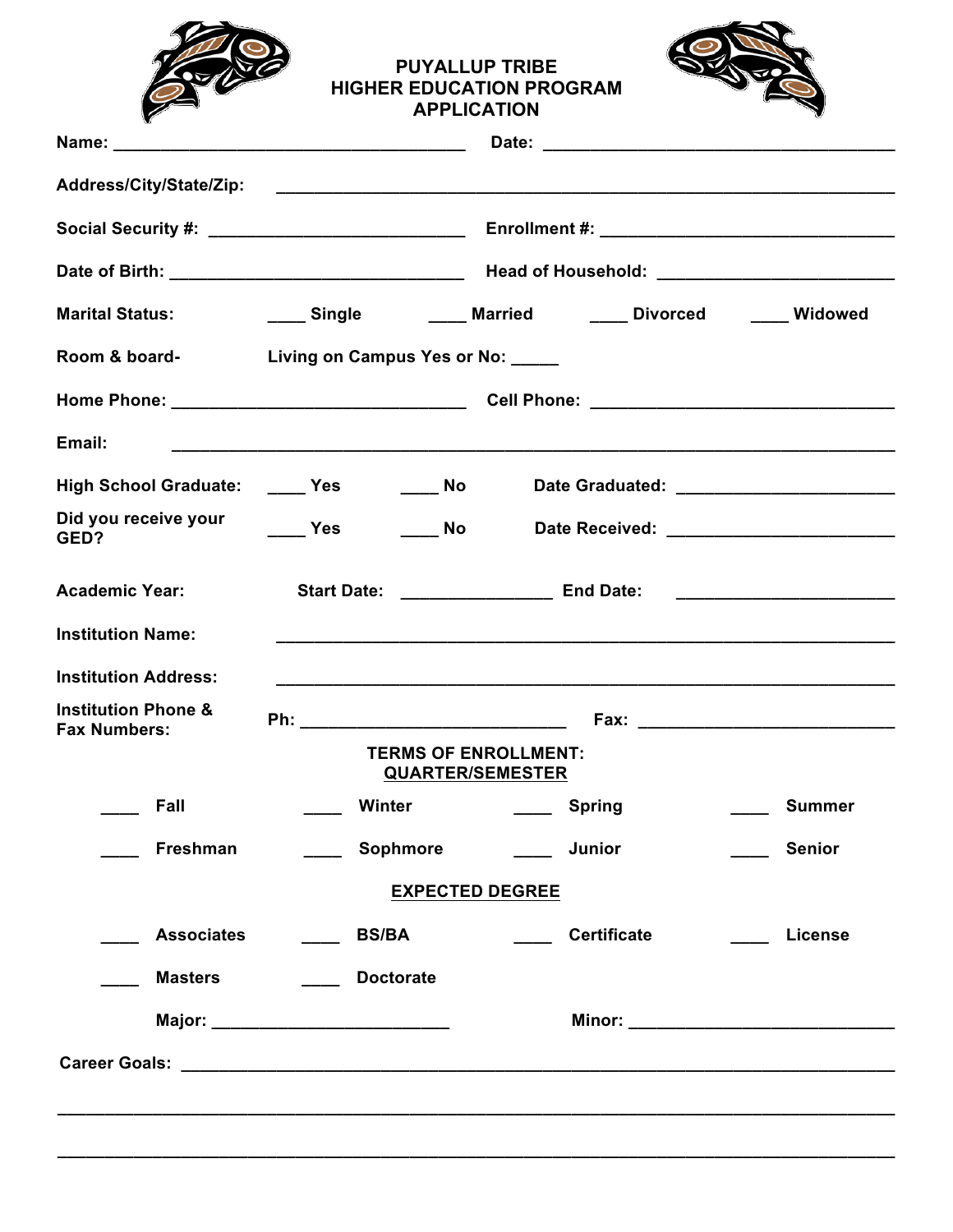

#### **PUYALLUP TRIBE HIGHER EDUCATION PROGRAM APPLICATION**



|                                                       |                                                   | Date of Birth: __________________________________  Head of Household: ____________________________ |                |
|-------------------------------------------------------|---------------------------------------------------|----------------------------------------------------------------------------------------------------|----------------|
| <b>Marital Status:</b>                                |                                                   | ____ Single     ____ Married    ____ Divorced    ____ Widowed                                      |                |
|                                                       | Room & board-<br>Living on Campus Yes or No: ____ |                                                                                                    |                |
|                                                       |                                                   |                                                                                                    |                |
| Email:                                                |                                                   |                                                                                                    |                |
|                                                       |                                                   | High School Graduate: _____ Yes _______ No _____ Date Graduated: ________________                  |                |
| Did you receive your<br>GED?                          |                                                   | <b>Example 3 Yes Contract Area Date Received: Contract 2 Yes</b> 2 Mo                              |                |
| <b>Academic Year:</b>                                 |                                                   | Start Date: ________________________ End Date: _________________________________                   |                |
| <b>Institution Name:</b>                              |                                                   |                                                                                                    |                |
| <b>Institution Address:</b>                           |                                                   |                                                                                                    |                |
| <b>Institution Phone &amp;</b><br><b>Fax Numbers:</b> |                                                   |                                                                                                    |                |
|                                                       |                                                   | <b>TERMS OF ENROLLMENT:</b><br><b>QUARTER/SEMESTER</b>                                             |                |
| Fall                                                  | Winter                                            | ____ Spring                                                                                        | <b>Summer</b>  |
| Freshman                                              | ____ Sophmore                                     | Junior                                                                                             | <b>Senior</b>  |
|                                                       |                                                   | <b>EXPECTED DEGREE</b>                                                                             |                |
| <b>Associates</b>                                     | <b>BS/BA</b>                                      | <b>Certificate</b>                                                                                 | <b>License</b> |
| <b>Masters</b>                                        | <b>Doctorate</b><br>$\mathcal{L}^{\text{max}}$    |                                                                                                    |                |
|                                                       |                                                   |                                                                                                    |                |
|                                                       |                                                   |                                                                                                    |                |
|                                                       |                                                   |                                                                                                    |                |
|                                                       |                                                   |                                                                                                    |                |

**\_\_\_\_\_\_\_\_\_\_\_\_\_\_\_\_\_\_\_\_\_\_\_\_\_\_\_\_\_\_\_\_\_\_\_\_\_\_\_\_\_\_\_\_\_\_\_\_\_\_\_\_\_\_\_\_\_\_\_\_\_\_\_\_\_\_\_\_\_\_\_\_\_\_\_\_\_\_\_\_\_\_\_\_\_\_\_\_**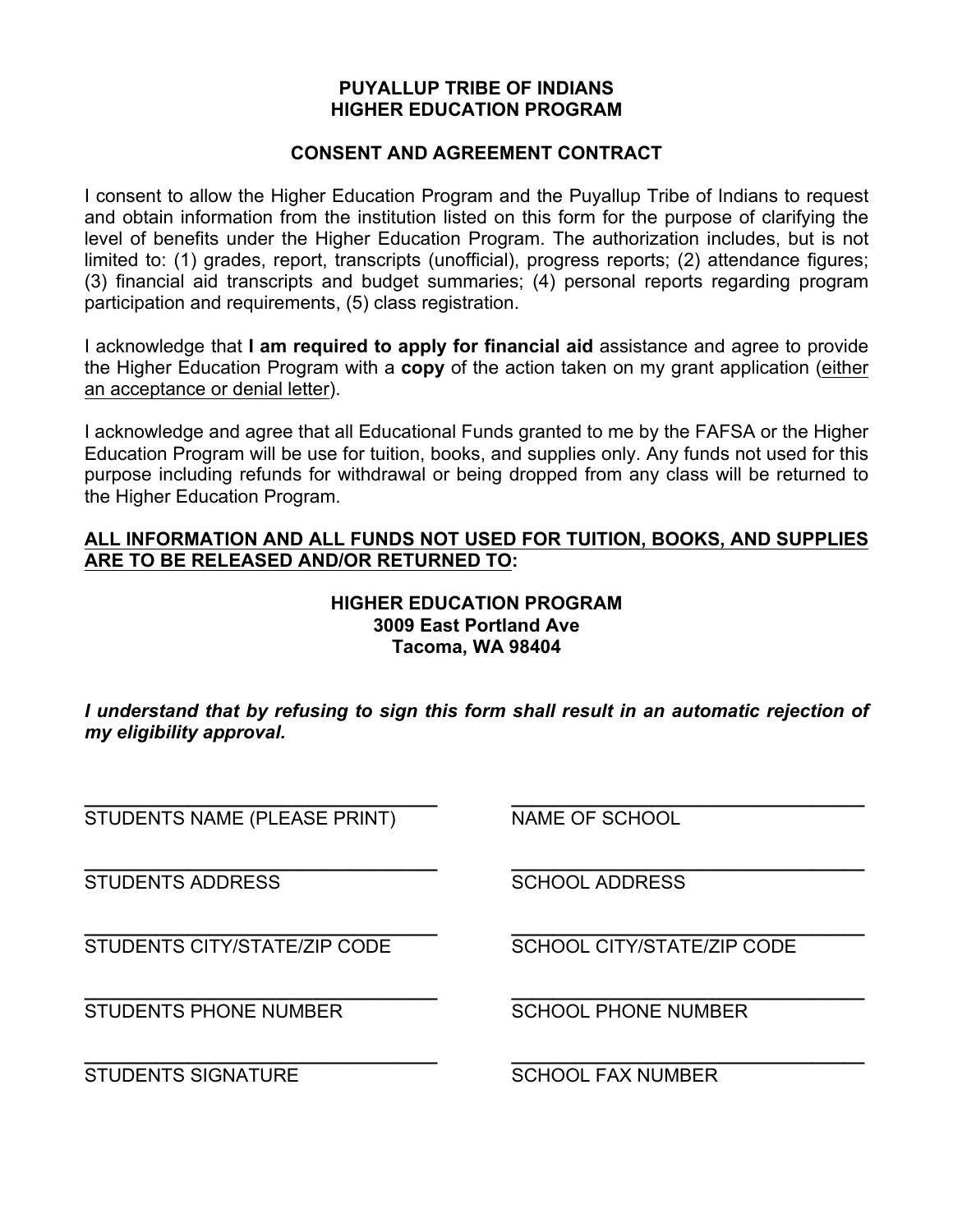#### **PUYALLUP TRIBE OF INDIANS HIGHER EDUCATION PROGRAM**

#### **CONSENT AND AGREEMENT CONTRACT**

I consent to allow the Higher Education Program and the Puyallup Tribe of Indians to request and obtain information from the institution listed on this form for the purpose of clarifying the level of benefits under the Higher Education Program. The authorization includes, but is not limited to: (1) grades, report, transcripts (unofficial), progress reports; (2) attendance figures; (3) financial aid transcripts and budget summaries; (4) personal reports regarding program participation and requirements, (5) class registration.

I acknowledge that **I am required to apply for financial aid** assistance and agree to provide the Higher Education Program with a **copy** of the action taken on my grant application (either an acceptance or denial letter).

I acknowledge and agree that all Educational Funds granted to me by the FAFSA or the Higher Education Program will be use for tuition, books, and supplies only. Any funds not used for this purpose including refunds for withdrawal or being dropped from any class will be returned to the Higher Education Program.

#### **ALL INFORMATION AND ALL FUNDS NOT USED FOR TUITION, BOOKS, AND SUPPLIES ARE TO BE RELEASED AND/OR RETURNED TO:**

#### **HIGHER EDUCATION PROGRAM 3009 East Portland Ave Tacoma, WA 98404**

*I understand that by refusing to sign this form shall result in an automatic rejection of my eligibility approval.*

**\_\_\_\_\_\_\_\_\_\_\_\_\_\_\_\_\_\_\_\_\_\_\_\_\_\_\_\_\_\_\_\_\_\_ \_\_\_\_\_\_\_\_\_\_\_\_\_\_\_\_\_\_\_\_\_\_\_\_\_\_\_\_\_\_\_\_\_\_**

**\_\_\_\_\_\_\_\_\_\_\_\_\_\_\_\_\_\_\_\_\_\_\_\_\_\_\_\_\_\_\_\_\_\_ \_\_\_\_\_\_\_\_\_\_\_\_\_\_\_\_\_\_\_\_\_\_\_\_\_\_\_\_\_\_\_\_\_\_**

**\_\_\_\_\_\_\_\_\_\_\_\_\_\_\_\_\_\_\_\_\_\_\_\_\_\_\_\_\_\_\_\_\_\_ \_\_\_\_\_\_\_\_\_\_\_\_\_\_\_\_\_\_\_\_\_\_\_\_\_\_\_\_\_\_\_\_\_\_**

STUDENTS NAME (PLEASE PRINT) NAME OF SCHOOL

**\_\_\_\_\_\_\_\_\_\_\_\_\_\_\_\_\_\_\_\_\_\_\_\_\_\_\_\_\_\_\_\_\_\_ \_\_\_\_\_\_\_\_\_\_\_\_\_\_\_\_\_\_\_\_\_\_\_\_\_\_\_\_\_\_\_\_\_\_** STUDENTS ADDRESS STUDENTS AND SCHOOL ADDRESS

**\_\_\_\_\_\_\_\_\_\_\_\_\_\_\_\_\_\_\_\_\_\_\_\_\_\_\_\_\_\_\_\_\_\_ \_\_\_\_\_\_\_\_\_\_\_\_\_\_\_\_\_\_\_\_\_\_\_\_\_\_\_\_\_\_\_\_\_\_** STUDENTS CITY/STATE/ZIP CODE SCHOOL CITY/STATE/ZIP CODE

STUDENTS PHONE NUMBER SCHOOL PHONE NUMBER

STUDENTS SIGNATURE SCHOOL FAX NUMBER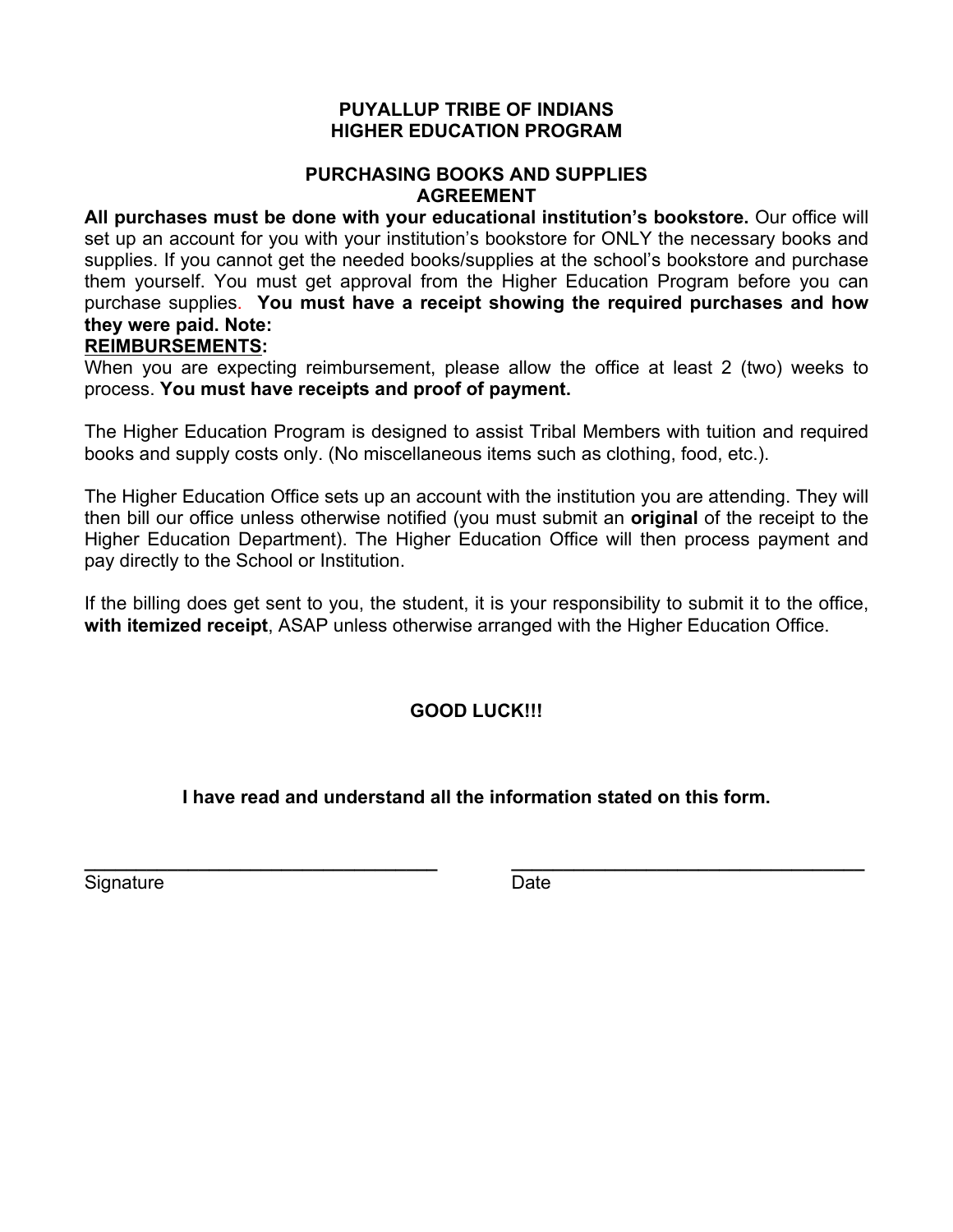#### **PUYALLUP TRIBE OF INDIANS HIGHER EDUCATION PROGRAM**

#### **PURCHASING BOOKS AND SUPPLIES AGREEMENT**

**All purchases must be done with your educational institution's bookstore.** Our office will set up an account for you with your institution's bookstore for ONLY the necessary books and supplies. If you cannot get the needed books/supplies at the school's bookstore and purchase them yourself. You must get approval from the Higher Education Program before you can purchase supplies. **You must have a receipt showing the required purchases and how they were paid. Note:**

#### **REIMBURSEMENTS:**

When you are expecting reimbursement, please allow the office at least 2 (two) weeks to process. **You must have receipts and proof of payment.**

The Higher Education Program is designed to assist Tribal Members with tuition and required books and supply costs only. (No miscellaneous items such as clothing, food, etc.).

The Higher Education Office sets up an account with the institution you are attending. They will then bill our office unless otherwise notified (you must submit an **original** of the receipt to the Higher Education Department). The Higher Education Office will then process payment and pay directly to the School or Institution.

If the billing does get sent to you, the student, it is your responsibility to submit it to the office, **with itemized receipt**, ASAP unless otherwise arranged with the Higher Education Office.

## **GOOD LUCK!!!**

## **I have read and understand all the information stated on this form.**

Signature **Date** 

**\_\_\_\_\_\_\_\_\_\_\_\_\_\_\_\_\_\_\_\_\_\_\_\_\_\_\_\_\_\_\_\_\_\_ \_\_\_\_\_\_\_\_\_\_\_\_\_\_\_\_\_\_\_\_\_\_\_\_\_\_\_\_\_\_\_\_\_\_**